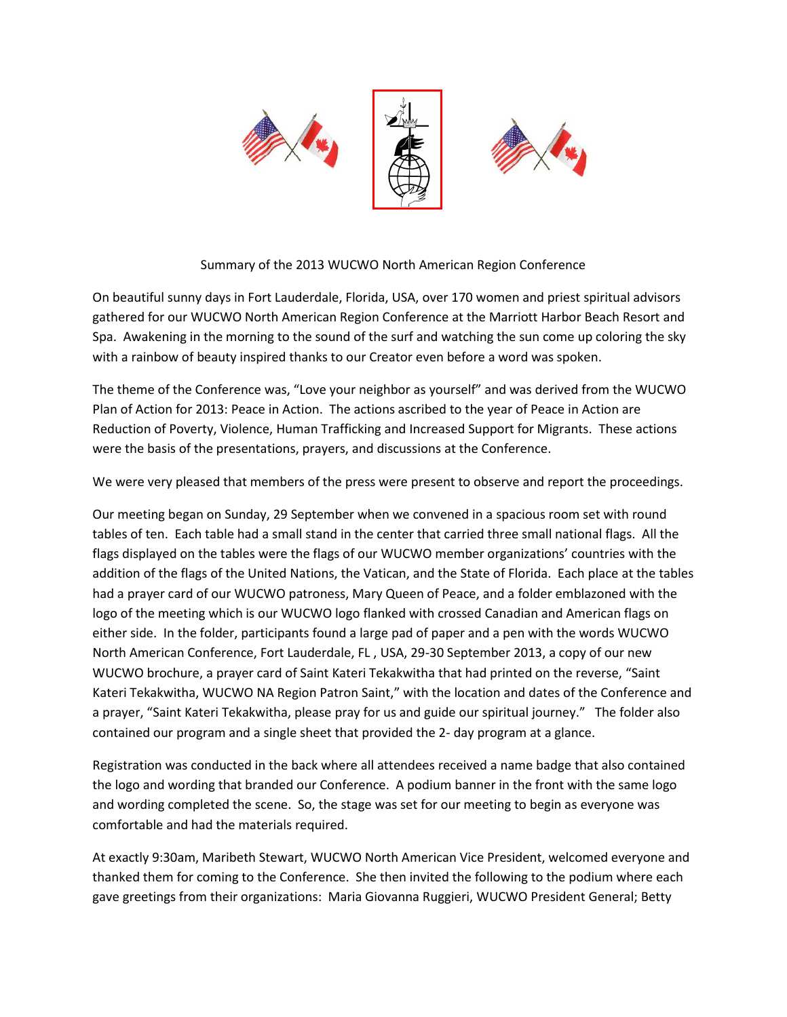

## Summary of the 2013 WUCWO North American Region Conference

On beautiful sunny days in Fort Lauderdale, Florida, USA, over 170 women and priest spiritual advisors gathered for our WUCWO North American Region Conference at the Marriott Harbor Beach Resort and Spa. Awakening in the morning to the sound of the surf and watching the sun come up coloring the sky with a rainbow of beauty inspired thanks to our Creator even before a word was spoken.

The theme of the Conference was, "Love your neighbor as yourself" and was derived from the WUCWO Plan of Action for 2013: Peace in Action. The actions ascribed to the year of Peace in Action are Reduction of Poverty, Violence, Human Trafficking and Increased Support for Migrants. These actions were the basis of the presentations, prayers, and discussions at the Conference.

We were very pleased that members of the press were present to observe and report the proceedings.

Our meeting began on Sunday, 29 September when we convened in a spacious room set with round tables of ten. Each table had a small stand in the center that carried three small national flags. All the flags displayed on the tables were the flags of our WUCWO member organizations' countries with the addition of the flags of the United Nations, the Vatican, and the State of Florida. Each place at the tables had a prayer card of our WUCWO patroness, Mary Queen of Peace, and a folder emblazoned with the logo of the meeting which is our WUCWO logo flanked with crossed Canadian and American flags on either side. In the folder, participants found a large pad of paper and a pen with the words WUCWO North American Conference, Fort Lauderdale, FL , USA, 29-30 September 2013, a copy of our new WUCWO brochure, a prayer card of Saint Kateri Tekakwitha that had printed on the reverse, "Saint Kateri Tekakwitha, WUCWO NA Region Patron Saint," with the location and dates of the Conference and a prayer, "Saint Kateri Tekakwitha, please pray for us and guide our spiritual journey." The folder also contained our program and a single sheet that provided the 2- day program at a glance.

Registration was conducted in the back where all attendees received a name badge that also contained the logo and wording that branded our Conference. A podium banner in the front with the same logo and wording completed the scene. So, the stage was set for our meeting to begin as everyone was comfortable and had the materials required.

At exactly 9:30am, Maribeth Stewart, WUCWO North American Vice President, welcomed everyone and thanked them for coming to the Conference. She then invited the following to the podium where each gave greetings from their organizations: Maria Giovanna Ruggieri, WUCWO President General; Betty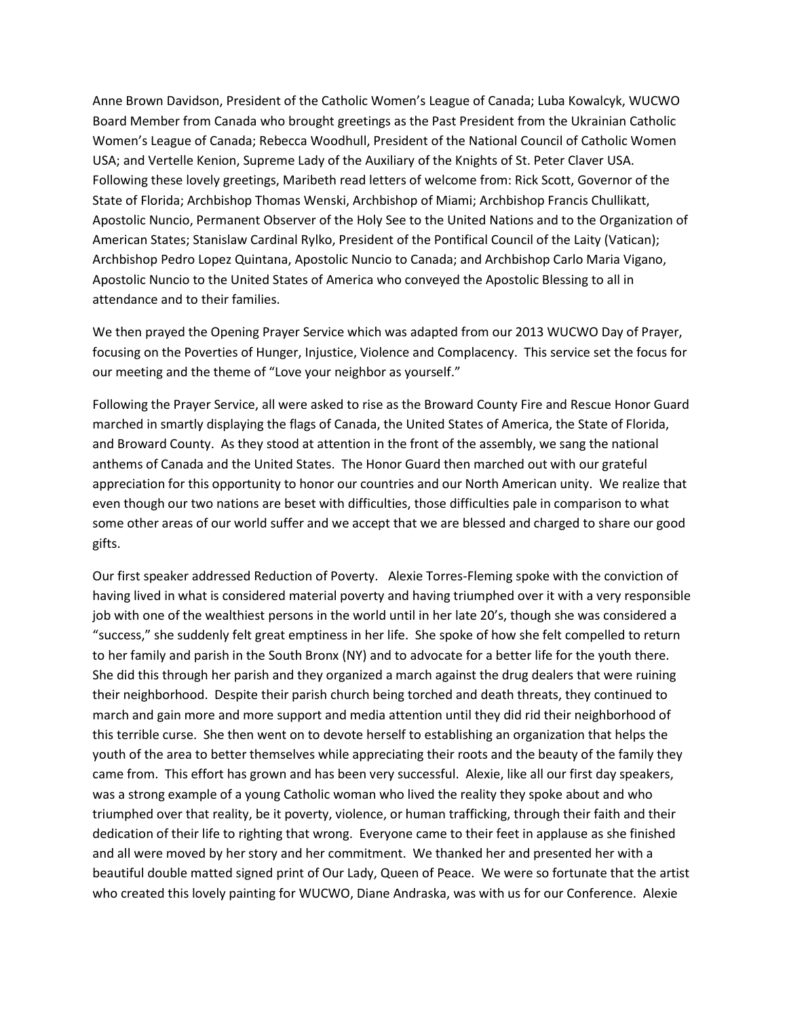Anne Brown Davidson, President of the Catholic Women's League of Canada; Luba Kowalcyk, WUCWO Board Member from Canada who brought greetings as the Past President from the Ukrainian Catholic Women's League of Canada; Rebecca Woodhull, President of the National Council of Catholic Women USA; and Vertelle Kenion, Supreme Lady of the Auxiliary of the Knights of St. Peter Claver USA. Following these lovely greetings, Maribeth read letters of welcome from: Rick Scott, Governor of the State of Florida; Archbishop Thomas Wenski, Archbishop of Miami; Archbishop Francis Chullikatt, Apostolic Nuncio, Permanent Observer of the Holy See to the United Nations and to the Organization of American States; Stanislaw Cardinal Rylko, President of the Pontifical Council of the Laity (Vatican); Archbishop Pedro Lopez Quintana, Apostolic Nuncio to Canada; and Archbishop Carlo Maria Vigano, Apostolic Nuncio to the United States of America who conveyed the Apostolic Blessing to all in attendance and to their families.

We then prayed the Opening Prayer Service which was adapted from our 2013 WUCWO Day of Prayer, focusing on the Poverties of Hunger, Injustice, Violence and Complacency. This service set the focus for our meeting and the theme of "Love your neighbor as yourself."

Following the Prayer Service, all were asked to rise as the Broward County Fire and Rescue Honor Guard marched in smartly displaying the flags of Canada, the United States of America, the State of Florida, and Broward County. As they stood at attention in the front of the assembly, we sang the national anthems of Canada and the United States. The Honor Guard then marched out with our grateful appreciation for this opportunity to honor our countries and our North American unity. We realize that even though our two nations are beset with difficulties, those difficulties pale in comparison to what some other areas of our world suffer and we accept that we are blessed and charged to share our good gifts.

Our first speaker addressed Reduction of Poverty. Alexie Torres-Fleming spoke with the conviction of having lived in what is considered material poverty and having triumphed over it with a very responsible job with one of the wealthiest persons in the world until in her late 20's, though she was considered a "success," she suddenly felt great emptiness in her life. She spoke of how she felt compelled to return to her family and parish in the South Bronx (NY) and to advocate for a better life for the youth there. She did this through her parish and they organized a march against the drug dealers that were ruining their neighborhood. Despite their parish church being torched and death threats, they continued to march and gain more and more support and media attention until they did rid their neighborhood of this terrible curse. She then went on to devote herself to establishing an organization that helps the youth of the area to better themselves while appreciating their roots and the beauty of the family they came from. This effort has grown and has been very successful. Alexie, like all our first day speakers, was a strong example of a young Catholic woman who lived the reality they spoke about and who triumphed over that reality, be it poverty, violence, or human trafficking, through their faith and their dedication of their life to righting that wrong. Everyone came to their feet in applause as she finished and all were moved by her story and her commitment. We thanked her and presented her with a beautiful double matted signed print of Our Lady, Queen of Peace. We were so fortunate that the artist who created this lovely painting for WUCWO, Diane Andraska, was with us for our Conference. Alexie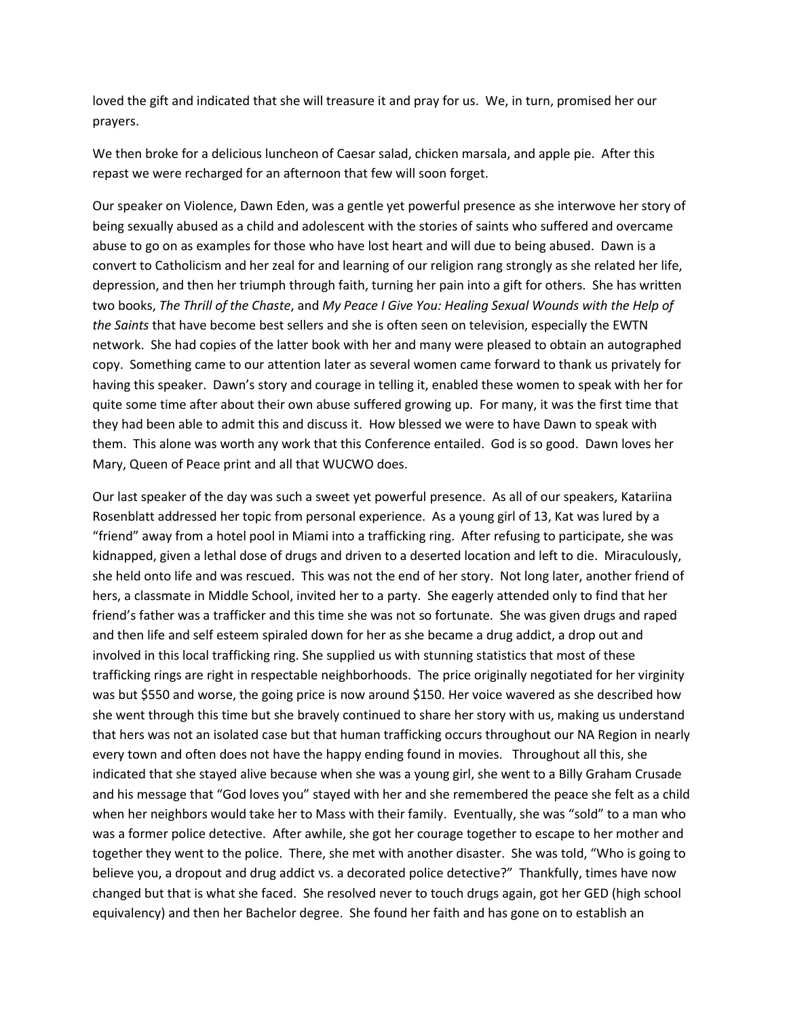loved the gift and indicated that she will treasure it and pray for us. We, in turn, promised her our prayers.

We then broke for a delicious luncheon of Caesar salad, chicken marsala, and apple pie. After this repast we were recharged for an afternoon that few will soon forget.

Our speaker on Violence, Dawn Eden, was a gentle yet powerful presence as she interwove her story of being sexually abused as a child and adolescent with the stories of saints who suffered and overcame abuse to go on as examples for those who have lost heart and will due to being abused. Dawn is a convert to Catholicism and her zeal for and learning of our religion rang strongly as she related her life, depression, and then her triumph through faith, turning her pain into a gift for others. She has written two books, *The Thrill of the Chaste*, and *My Peace I Give You: Healing Sexual Wounds with the Help of the Saints* that have become best sellers and she is often seen on television, especially the EWTN network. She had copies of the latter book with her and many were pleased to obtain an autographed copy. Something came to our attention later as several women came forward to thank us privately for having this speaker. Dawn's story and courage in telling it, enabled these women to speak with her for quite some time after about their own abuse suffered growing up. For many, it was the first time that they had been able to admit this and discuss it. How blessed we were to have Dawn to speak with them. This alone was worth any work that this Conference entailed. God is so good. Dawn loves her Mary, Queen of Peace print and all that WUCWO does.

Our last speaker of the day was such a sweet yet powerful presence. As all of our speakers, Katariina Rosenblatt addressed her topic from personal experience. As a young girl of 13, Kat was lured by a "friend" away from a hotel pool in Miami into a trafficking ring. After refusing to participate, she was kidnapped, given a lethal dose of drugs and driven to a deserted location and left to die. Miraculously, she held onto life and was rescued. This was not the end of her story. Not long later, another friend of hers, a classmate in Middle School, invited her to a party. She eagerly attended only to find that her friend's father was a trafficker and this time she was not so fortunate. She was given drugs and raped and then life and self esteem spiraled down for her as she became a drug addict, a drop out and involved in this local trafficking ring. She supplied us with stunning statistics that most of these trafficking rings are right in respectable neighborhoods. The price originally negotiated for her virginity was but \$550 and worse, the going price is now around \$150. Her voice wavered as she described how she went through this time but she bravely continued to share her story with us, making us understand that hers was not an isolated case but that human trafficking occurs throughout our NA Region in nearly every town and often does not have the happy ending found in movies. Throughout all this, she indicated that she stayed alive because when she was a young girl, she went to a Billy Graham Crusade and his message that "God loves you" stayed with her and she remembered the peace she felt as a child when her neighbors would take her to Mass with their family. Eventually, she was "sold" to a man who was a former police detective. After awhile, she got her courage together to escape to her mother and together they went to the police. There, she met with another disaster. She was told, "Who is going to believe you, a dropout and drug addict vs. a decorated police detective?" Thankfully, times have now changed but that is what she faced. She resolved never to touch drugs again, got her GED (high school equivalency) and then her Bachelor degree. She found her faith and has gone on to establish an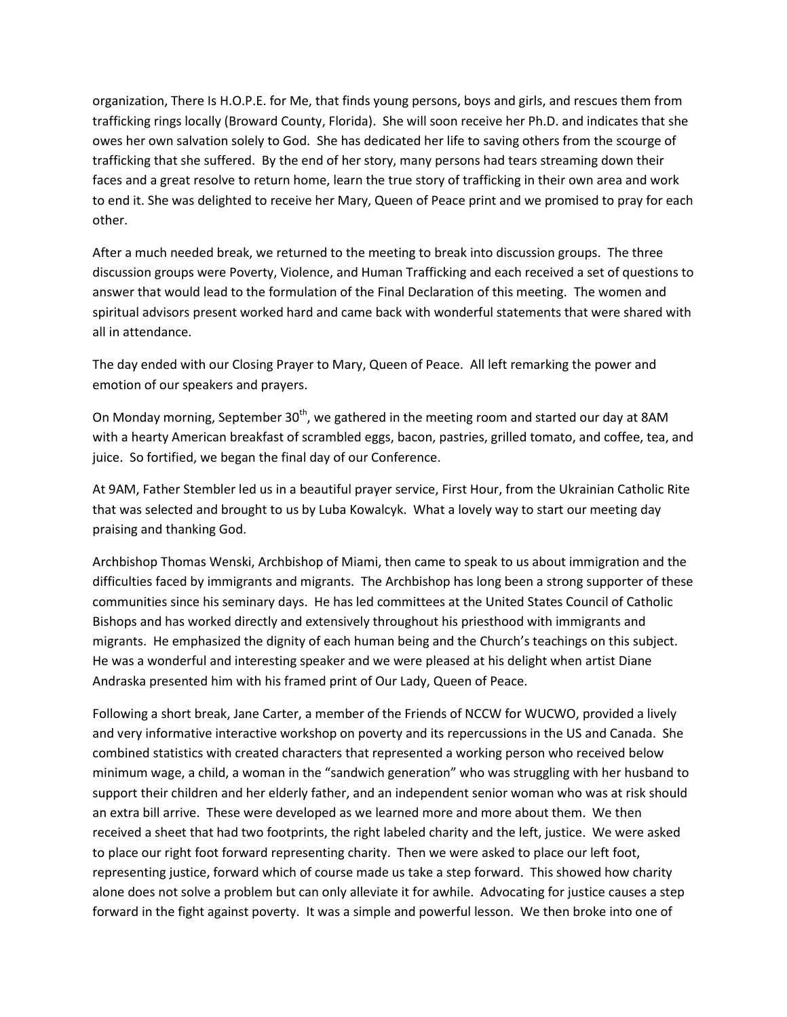organization, There Is H.O.P.E. for Me, that finds young persons, boys and girls, and rescues them from trafficking rings locally (Broward County, Florida). She will soon receive her Ph.D. and indicates that she owes her own salvation solely to God. She has dedicated her life to saving others from the scourge of trafficking that she suffered. By the end of her story, many persons had tears streaming down their faces and a great resolve to return home, learn the true story of trafficking in their own area and work to end it. She was delighted to receive her Mary, Queen of Peace print and we promised to pray for each other.

After a much needed break, we returned to the meeting to break into discussion groups. The three discussion groups were Poverty, Violence, and Human Trafficking and each received a set of questions to answer that would lead to the formulation of the Final Declaration of this meeting. The women and spiritual advisors present worked hard and came back with wonderful statements that were shared with all in attendance.

The day ended with our Closing Prayer to Mary, Queen of Peace. All left remarking the power and emotion of our speakers and prayers.

On Monday morning, September  $30<sup>th</sup>$ , we gathered in the meeting room and started our day at 8AM with a hearty American breakfast of scrambled eggs, bacon, pastries, grilled tomato, and coffee, tea, and juice. So fortified, we began the final day of our Conference.

At 9AM, Father Stembler led us in a beautiful prayer service, First Hour, from the Ukrainian Catholic Rite that was selected and brought to us by Luba Kowalcyk. What a lovely way to start our meeting day praising and thanking God.

Archbishop Thomas Wenski, Archbishop of Miami, then came to speak to us about immigration and the difficulties faced by immigrants and migrants. The Archbishop has long been a strong supporter of these communities since his seminary days. He has led committees at the United States Council of Catholic Bishops and has worked directly and extensively throughout his priesthood with immigrants and migrants. He emphasized the dignity of each human being and the Church's teachings on this subject. He was a wonderful and interesting speaker and we were pleased at his delight when artist Diane Andraska presented him with his framed print of Our Lady, Queen of Peace.

Following a short break, Jane Carter, a member of the Friends of NCCW for WUCWO, provided a lively and very informative interactive workshop on poverty and its repercussions in the US and Canada. She combined statistics with created characters that represented a working person who received below minimum wage, a child, a woman in the "sandwich generation" who was struggling with her husband to support their children and her elderly father, and an independent senior woman who was at risk should an extra bill arrive. These were developed as we learned more and more about them. We then received a sheet that had two footprints, the right labeled charity and the left, justice. We were asked to place our right foot forward representing charity. Then we were asked to place our left foot, representing justice, forward which of course made us take a step forward. This showed how charity alone does not solve a problem but can only alleviate it for awhile. Advocating for justice causes a step forward in the fight against poverty. It was a simple and powerful lesson. We then broke into one of